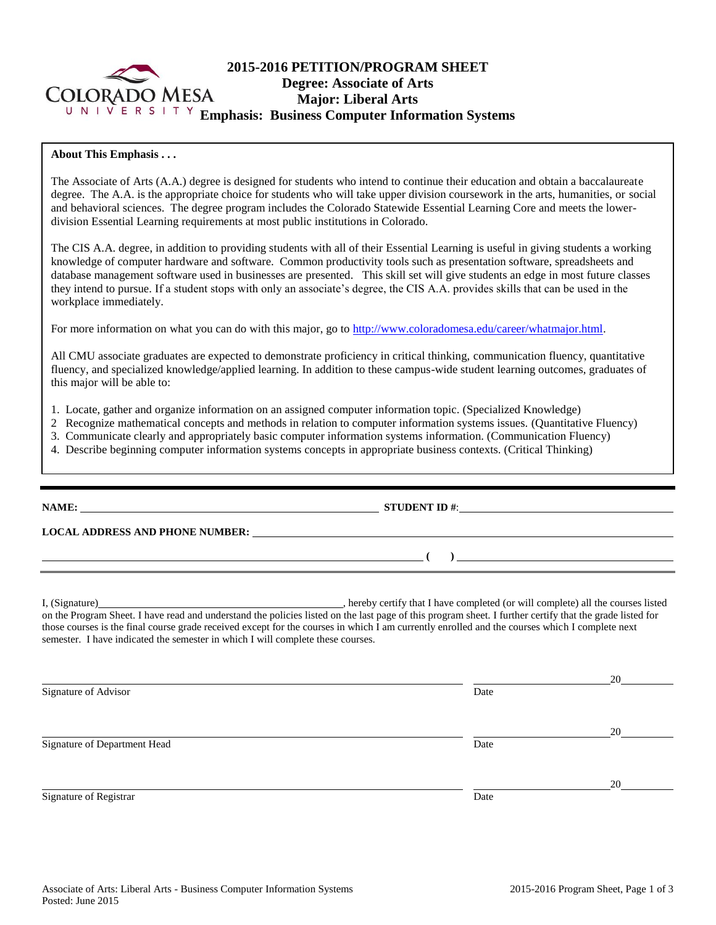

# **2015-2016 PETITION/PROGRAM SHEET Degree: Associate of Arts Major: Liberal Arts Emphasis: Business Computer Information Systems**

## **About This Emphasis . . .**

The Associate of Arts (A.A.) degree is designed for students who intend to continue their education and obtain a baccalaureate degree. The A.A. is the appropriate choice for students who will take upper division coursework in the arts, humanities, or social and behavioral sciences. The degree program includes the Colorado Statewide Essential Learning Core and meets the lowerdivision Essential Learning requirements at most public institutions in Colorado.

The CIS A.A. degree, in addition to providing students with all of their Essential Learning is useful in giving students a working knowledge of computer hardware and software. Common productivity tools such as presentation software, spreadsheets and database management software used in businesses are presented. This skill set will give students an edge in most future classes they intend to pursue. If a student stops with only an associate's degree, the CIS A.A. provides skills that can be used in the workplace immediately.

For more information on what you can do with this major, go to [http://www.coloradomesa.edu/career/whatmajor.html.](http://www.coloradomesa.edu/career/whatmajor.html)

All CMU associate graduates are expected to demonstrate proficiency in critical thinking, communication fluency, quantitative fluency, and specialized knowledge/applied learning. In addition to these campus-wide student learning outcomes, graduates of this major will be able to:

- 1. Locate, gather and organize information on an assigned computer information topic. (Specialized Knowledge)
- 2 Recognize mathematical concepts and methods in relation to computer information systems issues. (Quantitative Fluency)
- 3. Communicate clearly and appropriately basic computer information systems information. (Communication Fluency)
- 4. Describe beginning computer information systems concepts in appropriate business contexts. (Critical Thinking)

|                                                                                 | STUDENT ID $#$ : $\qquad \qquad$                                                                                                                                                                                                                                                                                  |    |  |  |  |
|---------------------------------------------------------------------------------|-------------------------------------------------------------------------------------------------------------------------------------------------------------------------------------------------------------------------------------------------------------------------------------------------------------------|----|--|--|--|
|                                                                                 | LOCAL ADDRESS AND PHONE NUMBER: Under the contract of the contract of the contract of the contract of the contract of the contract of the contract of the contract of the contract of the contract of the contract of the cont                                                                                    |    |  |  |  |
|                                                                                 | $\overline{a}$ ( ) and the contract of $\overline{a}$ ( ) and the contract of $\overline{a}$ and $\overline{a}$ and $\overline{a}$ and $\overline{a}$ and $\overline{a}$ and $\overline{a}$ and $\overline{a}$ and $\overline{a}$ and $\overline{a}$ and $\overline{a}$ and $\overline{a}$ and $\overline{a}$ and |    |  |  |  |
| semester. I have indicated the semester in which I will complete these courses. | those courses is the final course grade received except for the courses in which I am currently enrolled and the courses which I complete next                                                                                                                                                                    |    |  |  |  |
|                                                                                 |                                                                                                                                                                                                                                                                                                                   | 20 |  |  |  |
| Signature of Advisor                                                            | Date                                                                                                                                                                                                                                                                                                              |    |  |  |  |
|                                                                                 |                                                                                                                                                                                                                                                                                                                   | 20 |  |  |  |
| Signature of Department Head                                                    | Date                                                                                                                                                                                                                                                                                                              |    |  |  |  |
|                                                                                 |                                                                                                                                                                                                                                                                                                                   | 20 |  |  |  |
| Signature of Registrar                                                          | Date                                                                                                                                                                                                                                                                                                              |    |  |  |  |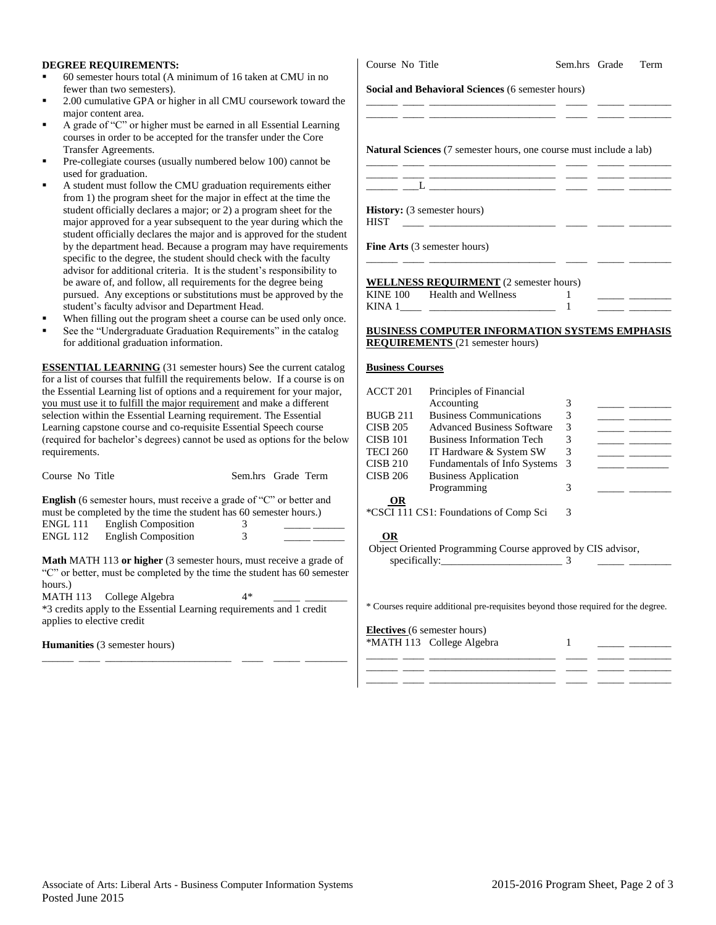#### **DEGREE REQUIREMENTS:**

- 60 semester hours total (A minimum of 16 taken at CMU in no fewer than two semesters).
- 2.00 cumulative GPA or higher in all CMU coursework toward the major content area.
- A grade of "C" or higher must be earned in all Essential Learning courses in order to be accepted for the transfer under the Core Transfer Agreements.
- Pre-collegiate courses (usually numbered below 100) cannot be used for graduation.
- A student must follow the CMU graduation requirements either from 1) the program sheet for the major in effect at the time the student officially declares a major; or 2) a program sheet for the major approved for a year subsequent to the year during which the student officially declares the major and is approved for the student by the department head. Because a program may have requirements specific to the degree, the student should check with the faculty advisor for additional criteria. It is the student's responsibility to be aware of, and follow, all requirements for the degree being pursued. Any exceptions or substitutions must be approved by the student's faculty advisor and Department Head.
- When filling out the program sheet a course can be used only once.
- See the "Undergraduate Graduation Requirements" in the catalog for additional graduation information.

**ESSENTIAL LEARNING** (31 semester hours) See the current catalog for a list of courses that fulfill the requirements below. If a course is on the Essential Learning list of options and a requirement for your major, you must use it to fulfill the major requirement and make a different selection within the Essential Learning requirement. The Essential Learning capstone course and co-requisite Essential Speech course (required for bachelor's degrees) cannot be used as options for the below requirements.

| Course No Title | Sem.hrs Grade Term |  |
|-----------------|--------------------|--|
|                 |                    |  |

**English** (6 semester hours, must receive a grade of "C" or better and must be completed by the time the student has 60 semester hours.)  $ENGL 111$  English Composition  $3$   $2$ ENGL 112 English Composition  $\overline{3}$  \_\_\_\_\_

**Math** MATH 113 **or higher** (3 semester hours, must receive a grade of "C" or better, must be completed by the time the student has 60 semester hours.)

MATH 113 College Algebra 4\*

\*3 credits apply to the Essential Learning requirements and 1 credit applies to elective credit

\_\_\_\_\_\_ \_\_\_\_ \_\_\_\_\_\_\_\_\_\_\_\_\_\_\_\_\_\_\_\_\_\_\_\_ \_\_\_\_ \_\_\_\_\_ \_\_\_\_\_\_\_\_

**Humanities** (3 semester hours)

# **Social and Behavioral Sciences** (6 semester hours) \_\_\_\_\_\_ \_\_\_\_ \_\_\_\_\_\_\_\_\_\_\_\_\_\_\_\_\_\_\_\_\_\_\_\_ \_\_\_\_ \_\_\_\_\_ \_\_\_\_\_\_\_\_ \_\_\_\_\_\_ \_\_\_\_ \_\_\_\_\_\_\_\_\_\_\_\_\_\_\_\_\_\_\_\_\_\_\_\_ \_\_\_\_ \_\_\_\_\_ \_\_\_\_\_\_\_\_ **Natural Sciences** (7 semester hours, one course must include a lab) \_\_\_\_\_\_ \_\_\_\_ \_\_\_\_\_\_\_\_\_\_\_\_\_\_\_\_\_\_\_\_\_\_\_\_ \_\_\_\_ \_\_\_\_\_ \_\_\_\_\_\_\_\_ \_\_\_\_\_\_ \_\_\_\_ \_\_\_\_\_\_\_\_\_\_\_\_\_\_\_\_\_\_\_\_\_\_\_\_ \_\_\_\_ \_\_\_\_\_ \_\_\_\_\_\_\_\_ \_\_\_\_\_\_ \_\_\_L \_\_\_\_\_\_\_\_\_\_\_\_\_\_\_\_\_\_\_\_\_\_\_\_ \_\_\_\_ \_\_\_\_\_ \_\_\_\_\_\_\_\_ **History:** (3 semester hours) HIST \_\_\_\_ \_\_\_\_\_\_\_\_\_\_\_\_\_\_\_\_\_\_\_\_\_\_\_\_ \_\_\_\_ \_\_\_\_\_ \_\_\_\_\_\_\_\_ **Fine Arts** (3 semester hours) \_\_\_\_\_\_ \_\_\_\_ \_\_\_\_\_\_\_\_\_\_\_\_\_\_\_\_\_\_\_\_\_\_\_\_ \_\_\_\_ \_\_\_\_\_ \_\_\_\_\_\_\_\_ **WELLNESS REQUIRMENT** (2 semester hours) KINE 100 Health and Wellness 1 KINA  $1 \qquad \qquad$   $1$

### **BUSINESS COMPUTER INFORMATION SYSTEMS EMPHASIS REQUIREMENTS** (21 semester hours)

#### **Business Courses**

| ACCT 201 | Principles of Financial                |    |  |
|----------|----------------------------------------|----|--|
|          | Accounting                             | 3  |  |
| BUGB 211 | <b>Business Communications</b>         | 3  |  |
| CISB 205 | <b>Advanced Business Software</b>      | 3  |  |
| CISB 101 | <b>Business Information Tech</b>       | 3  |  |
| TECI 260 | IT Hardware & System SW                | 3  |  |
| CISB 210 | Fundamentals of Info Systems           | -3 |  |
| CISB 206 | <b>Business Application</b>            |    |  |
|          | Programming                            | 3  |  |
| OR       |                                        |    |  |
|          | *CSCI 111 CS1: Foundations of Comp Sci | 3  |  |
|          |                                        |    |  |
| ΛD       |                                        |    |  |

#### **OR**

Object Oriented Programming Course approved by CIS advisor,

 $specifically:$   $\frac{3}{2}$ 

\* Courses require additional pre-requisites beyond those required for the degree.

**Electives** (6 semester hours) \*MATH 113 College Algebra 1 \_\_\_\_\_\_ \_\_\_\_ \_\_\_\_\_\_\_\_\_\_\_\_\_\_\_\_\_\_\_\_\_\_\_\_ \_\_\_\_ \_\_\_\_\_ \_\_\_\_\_\_\_\_ \_\_\_\_\_\_ \_\_\_\_ \_\_\_\_\_\_\_\_\_\_\_\_\_\_\_\_\_\_\_\_\_\_\_\_ \_\_\_\_ \_\_\_\_\_ \_\_\_\_\_\_\_\_ \_\_\_\_\_\_ \_\_\_\_ \_\_\_\_\_\_\_\_\_\_\_\_\_\_\_\_\_\_\_\_\_\_\_\_ \_\_\_\_ \_\_\_\_\_ \_\_\_\_\_\_\_\_

Course No Title Sem.hrs Grade Term